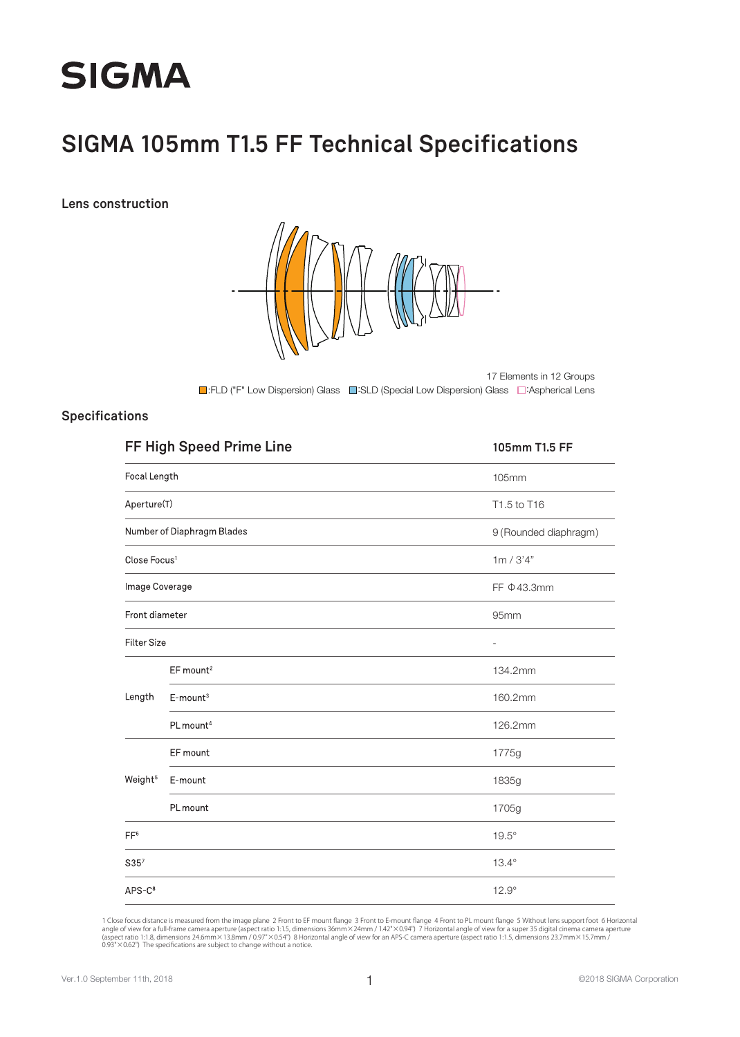

## **SIGMA 105mm T1.5 FF Technical Specifications**

**Lens construction**



■:FLD ("F" Low Dispersion) Glass ■:SLD (Special Low Dispersion) Glass ■:Aspherical Lens 17 Elements in 12 Groups

#### **Specifications**

|                          | FF High Speed Prime Line   | 105mm T1.5 FF            |
|--------------------------|----------------------------|--------------------------|
| Focal Length             |                            | 105mm                    |
| Aperture(T)              |                            | T1.5 to T16              |
|                          | Number of Diaphragm Blades | 9 (Rounded diaphragm)    |
| Close Focus <sup>1</sup> |                            | 1m / 3'4"                |
| Image Coverage           |                            | FF $\Phi$ 43.3mm         |
| Front diameter           |                            | 95mm                     |
| <b>Filter Size</b>       |                            | $\overline{\phantom{a}}$ |
|                          | EF mount <sup>2</sup>      | 134.2mm                  |
| Length                   | $E$ -mount <sup>3</sup>    | 160.2mm                  |
|                          | PL mount <sup>4</sup>      | 126.2mm                  |
|                          | EF mount                   | 1775g                    |
| Weight <sup>5</sup>      | E-mount                    | 1835g                    |
|                          | PL mount                   | 1705g                    |
| FF <sup>6</sup>          |                            | $19.5^\circ$             |
| S35 <sup>7</sup>         |                            | $13.4^\circ$             |
| $APS-C8$                 |                            | $12.9^\circ$             |

1 Close focus distance is measured from the image plane 2 Front to EF mount flange 3 Front to E-mount flange 4 Front to PL mount flange 5 Without lens support foot 6 Horizontal<br>angle of view for a full-frame camera apertur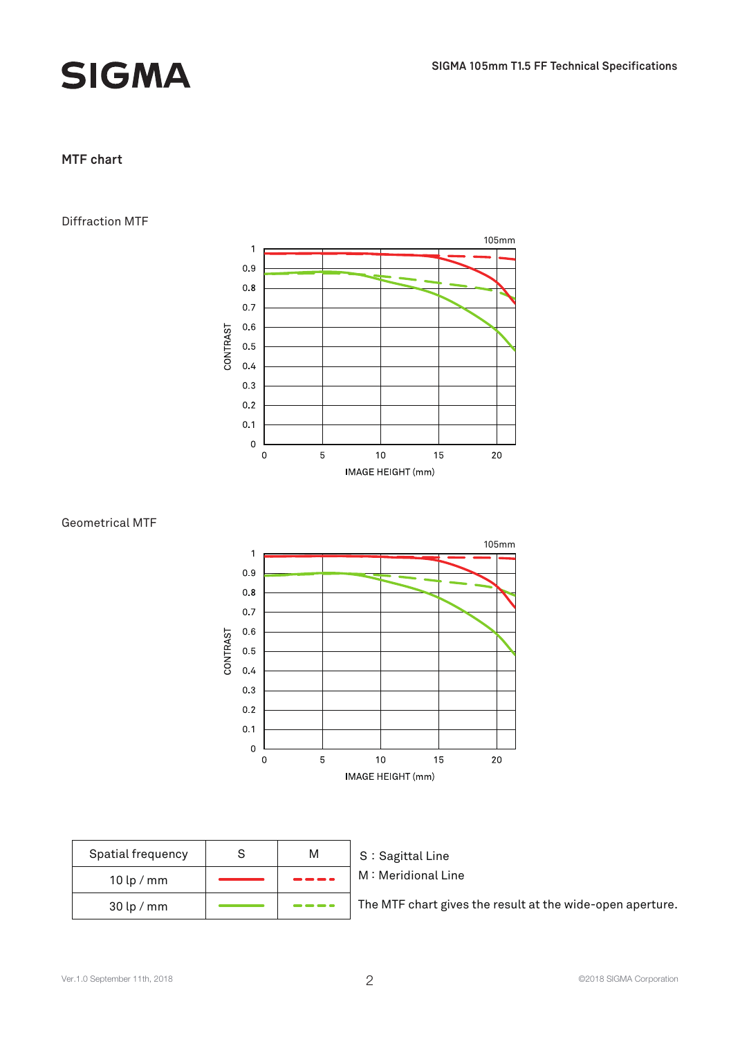

# **SIGMA**

### **MTF chart**

#### Diffraction MTF







| Spatial frequency | M | S |
|-------------------|---|---|
| $10$ lp / mm      |   |   |
| $30$ lp / mm      |   |   |

S: Sagittal Line M: Meridional Line

The MTF chart gives the result at the wide-open aperture.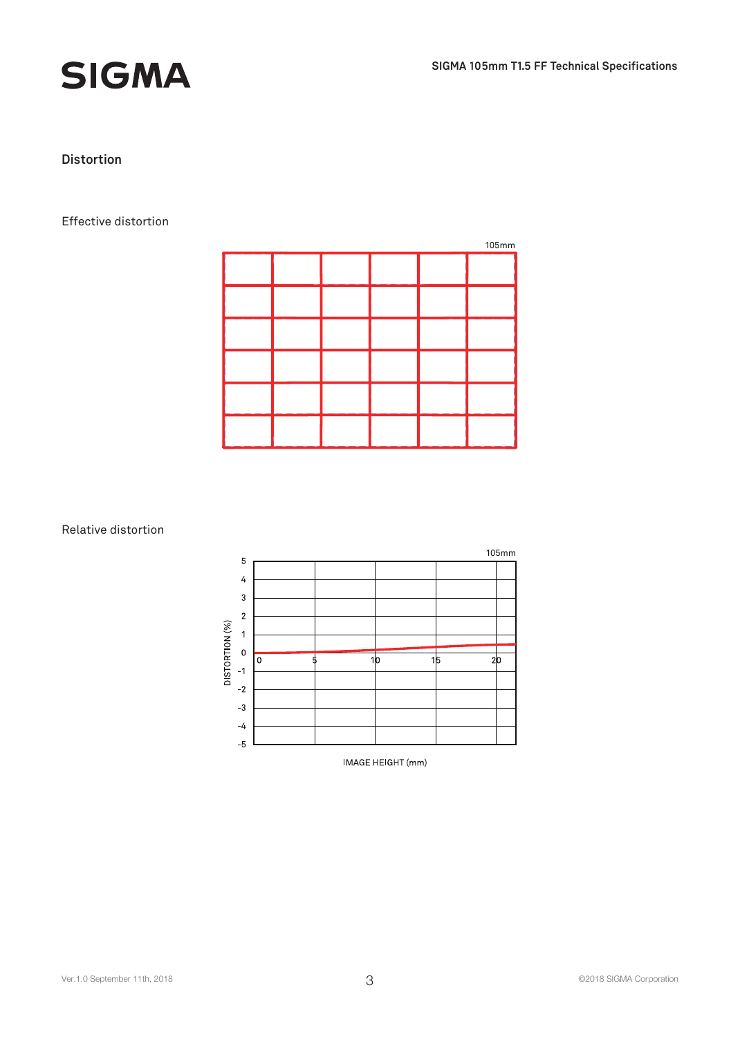



### **Distortion**

#### Effective distortion

| 105mm |  |  |  |  |  |
|-------|--|--|--|--|--|
|       |  |  |  |  |  |
|       |  |  |  |  |  |
|       |  |  |  |  |  |
|       |  |  |  |  |  |
|       |  |  |  |  |  |
|       |  |  |  |  |  |

#### Relative distortion



IMAGE HEIGHT (mm)